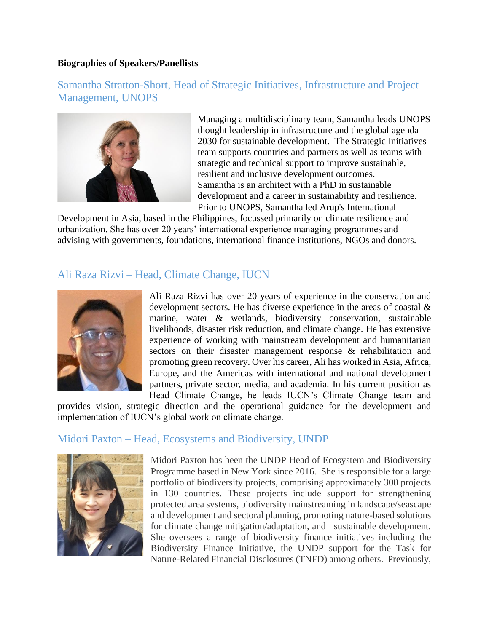#### **Biographies of Speakers/Panellists**

## Samantha Stratton-Short, Head of Strategic Initiatives, Infrastructure and Project Management, UNOPS



Managing a multidisciplinary team, Samantha leads UNOPS thought leadership in infrastructure and the global agenda 2030 for sustainable development. The Strategic Initiatives team supports countries and partners as well as teams with strategic and technical support to improve sustainable, resilient and inclusive development outcomes. Samantha is an architect with a PhD in sustainable development and a career in sustainability and resilience. Prior to UNOPS, Samantha led Arup's International

Development in Asia, based in the Philippines, focussed primarily on climate resilience and urbanization. She has over 20 years' international experience managing programmes and advising with governments, foundations, international finance institutions, NGOs and donors.

### Ali Raza Rizvi – Head, Climate Change, IUCN



Ali Raza Rizvi has over 20 years of experience in the conservation and development sectors. He has diverse experience in the areas of coastal & marine, water & wetlands, biodiversity conservation, sustainable livelihoods, disaster risk reduction, and climate change. He has extensive experience of working with mainstream development and humanitarian sectors on their disaster management response & rehabilitation and promoting green recovery. Over his career, Ali has worked in Asia, Africa, Europe, and the Americas with international and national development partners, private sector, media, and academia. In his current position as Head Climate Change, he leads IUCN's Climate Change team and

provides vision, strategic direction and the operational guidance for the development and implementation of IUCN's global work on climate change.

### Midori Paxton – Head, Ecosystems and Biodiversity, UNDP



Midori Paxton has been the UNDP Head of Ecosystem and Biodiversity Programme based in New York since 2016. She is responsible for a large portfolio of biodiversity projects, comprising approximately 300 projects in 130 countries. These projects include support for strengthening protected area systems, biodiversity mainstreaming in landscape/seascape and development and sectoral planning, promoting nature-based solutions for climate change mitigation/adaptation, and sustainable development. She oversees a range of biodiversity finance initiatives including the Biodiversity Finance Initiative, the UNDP support for the Task for Nature-Related Financial Disclosures (TNFD) among others. Previously,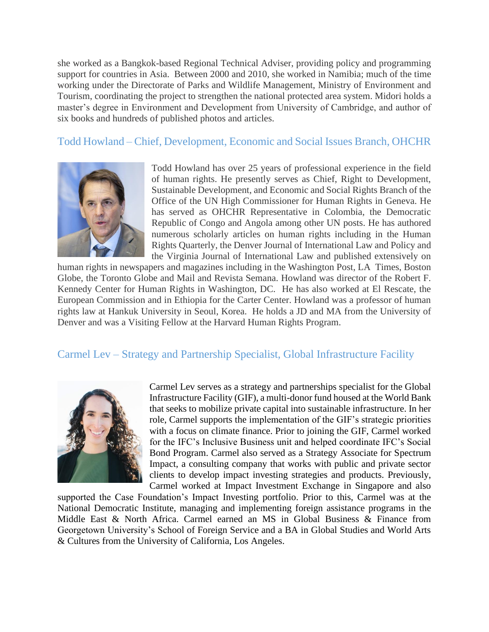she worked as a Bangkok-based Regional Technical Adviser, providing policy and programming support for countries in Asia. Between 2000 and 2010, she worked in Namibia; much of the time working under the Directorate of Parks and Wildlife Management, Ministry of Environment and Tourism, coordinating the project to strengthen the national protected area system. Midori holds a master's degree in Environment and Development from University of Cambridge, and author of six books and hundreds of published photos and articles.

## Todd Howland – Chief, Development, Economic and Social Issues Branch, OHCHR



Todd Howland has over 25 years of professional experience in the field of human rights. He presently serves as Chief, Right to Development, Sustainable Development, and Economic and Social Rights Branch of the Office of the UN High Commissioner for Human Rights in Geneva. He has served as OHCHR Representative in Colombia, the Democratic Republic of Congo and Angola among other UN posts. He has authored numerous scholarly articles on human rights including in the Human Rights Quarterly, the Denver Journal of International Law and Policy and the Virginia Journal of International Law and published extensively on

human rights in newspapers and magazines including in the Washington Post, LA Times, Boston Globe, the Toronto Globe and Mail and Revista Semana. Howland was director of the Robert F. Kennedy Center for Human Rights in Washington, DC. He has also worked at El Rescate, the European Commission and in Ethiopia for the Carter Center. Howland was a professor of human rights law at Hankuk University in Seoul, Korea. He holds a JD and MA from the University of Denver and was a Visiting Fellow at the Harvard Human Rights Program.

# Carmel Lev – Strategy and Partnership Specialist, Global Infrastructure Facility



Carmel Lev serves as a strategy and partnerships specialist for the Global Infrastructure Facility (GIF), a multi-donor fund housed at the World Bank that seeks to mobilize private capital into sustainable infrastructure. In her role, Carmel supports the implementation of the GIF's strategic priorities with a focus on climate finance. Prior to joining the GIF, Carmel worked for the IFC's Inclusive Business unit and helped coordinate IFC's Social Bond Program. Carmel also served as a Strategy Associate for Spectrum Impact, a consulting company that works with public and private sector clients to develop impact investing strategies and products. Previously, Carmel worked at Impact Investment Exchange in Singapore and also

supported the Case Foundation's Impact Investing portfolio. Prior to this, Carmel was at the National Democratic Institute, managing and implementing foreign assistance programs in the Middle East & North Africa. Carmel earned an MS in Global Business & Finance from Georgetown University's School of Foreign Service and a BA in Global Studies and World Arts & Cultures from the University of California, Los Angeles.